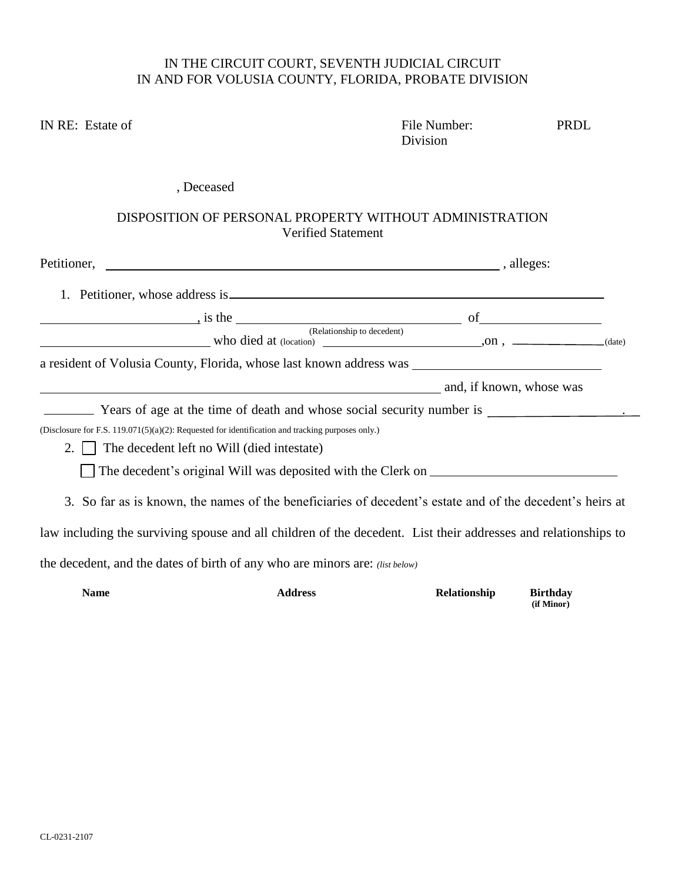## IN THE CIRCUIT COURT, SEVENTH JUDICIAL CIRCUIT IN AND FOR VOLUSIA COUNTY, FLORIDA, PROBATE DIVISION

| IN RE: Estate of |                                                                                                                                                                                                               | File Number:<br>Division | PRDL                          |
|------------------|---------------------------------------------------------------------------------------------------------------------------------------------------------------------------------------------------------------|--------------------------|-------------------------------|
|                  | , Deceased                                                                                                                                                                                                    |                          |                               |
|                  | DISPOSITION OF PERSONAL PROPERTY WITHOUT ADMINISTRATION<br><b>Verified Statement</b>                                                                                                                          |                          |                               |
|                  |                                                                                                                                                                                                               |                          |                               |
|                  |                                                                                                                                                                                                               |                          |                               |
|                  |                                                                                                                                                                                                               |                          |                               |
|                  | $\begin{array}{c c}\n\hline\n\end{array}$ is the $\begin{array}{c}\n\hline\n\end{array}$ (Relationship to decedent) $\begin{array}{c}\n\hline\n\end{array}$ of $\begin{array}{c}\n\hline\n\end{array}$ (date) |                          |                               |
|                  |                                                                                                                                                                                                               |                          |                               |
|                  | and, if known, whose was                                                                                                                                                                                      |                          |                               |
|                  |                                                                                                                                                                                                               |                          |                               |
|                  | (Disclosure for F.S. 119.071(5)(a)(2): Requested for identification and tracking purposes only.)                                                                                                              |                          |                               |
| $2. \perp$       | The decedent left no Will (died intestate)                                                                                                                                                                    |                          |                               |
|                  |                                                                                                                                                                                                               |                          |                               |
|                  | 3. So far as is known, the names of the beneficiaries of decedent's estate and of the decedent's heirs at                                                                                                     |                          |                               |
|                  | law including the surviving spouse and all children of the decedent. List their addresses and relationships to                                                                                                |                          |                               |
|                  | the decedent, and the dates of birth of any who are minors are: (list below)                                                                                                                                  |                          |                               |
| <b>Name</b>      | <b>Address</b>                                                                                                                                                                                                | Relationship             | <b>Birthday</b><br>(if Minor) |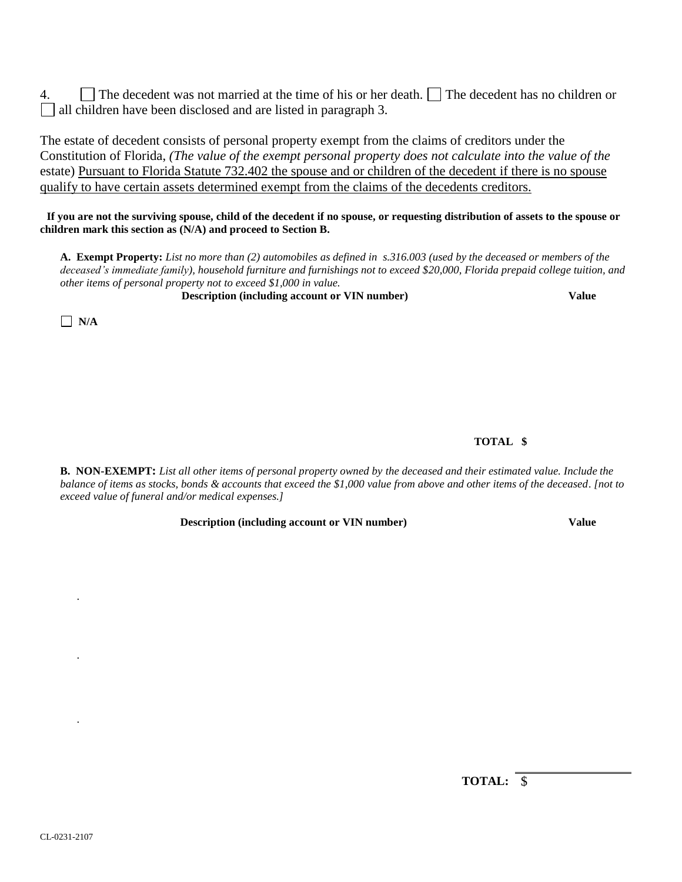4.  $\Box$  The decedent was not married at the time of his or her death.  $\Box$  The decedent has no children or all children have been disclosed and are listed in paragraph 3.

The estate of decedent consists of personal property exempt from the claims of creditors under the Constitution of Florida, *(The value of the exempt personal property does not calculate into the value of the* estate) Pursuant to Florida Statute 732.402 the spouse and or children of the decedent if there is no spouse qualify to have certain assets determined exempt from the claims of the decedents creditors.

 **If you are not the surviving spouse, child of the decedent if no spouse, or requesting distribution of assets to the spouse or children mark this section as (N/A) and proceed to Section B.**

**A. Exempt Property:** *List no more than (2) automobiles as defined in s.316.003 (used by the deceased or members of the deceased's immediate family), household furniture and furnishings not to exceed \$20,000, Florida prepaid college tuition, and other items of personal property not to exceed \$1,000 in value.*

**Description (including account or VIN number) Value**

 $\Box$  N/A

.

.

.

## **TOTAL \$**

**B. NON-EXEMPT:** *List all other items of personal property owned by the deceased and their estimated value. Include the balance of items as stocks, bonds & accounts that exceed the \$1,000 value from above and other items of the deceased. [not to exceed value of funeral and/or medical expenses.]*

**Description** (including account or VIN number) Value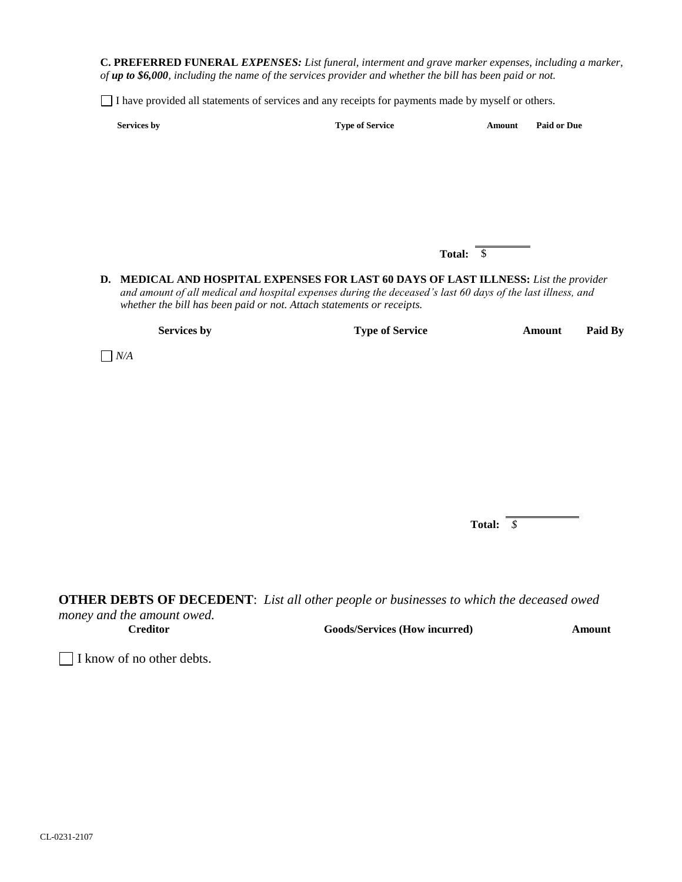**C. PREFERRED FUNERAL** *EXPENSES: List funeral, interment and grave marker expenses, including a marker, of up to \$6,000, including the name of the services provider and whether the bill has been paid or not.*

I have provided all statements of services and any receipts for payments made by myself or others.

| <b>Services by</b> | <b>Type of Service</b> | Amount | <b>Paid or Due</b> |
|--------------------|------------------------|--------|--------------------|
|                    |                        |        |                    |

**Total:** \$

**D. MEDICAL AND HOSPITAL EXPENSES FOR LAST 60 DAYS OF LAST ILLNESS:** *List the provider and amount of all medical and hospital expenses during the deceased's last 60 days of the last illness, and whether the bill has been paid or not. Attach statements or receipts.*

**Services by Type of Service Amount Paid By**

 $\Box$  *N/A* 

**Total:** *\$*

**OTHER DEBTS OF DECEDENT**: *List all other people or businesses to which the deceased owed* 

*money and the amount owed.*

**Creditor Goods/Services (How incurred) Amount**

I know of no other debts.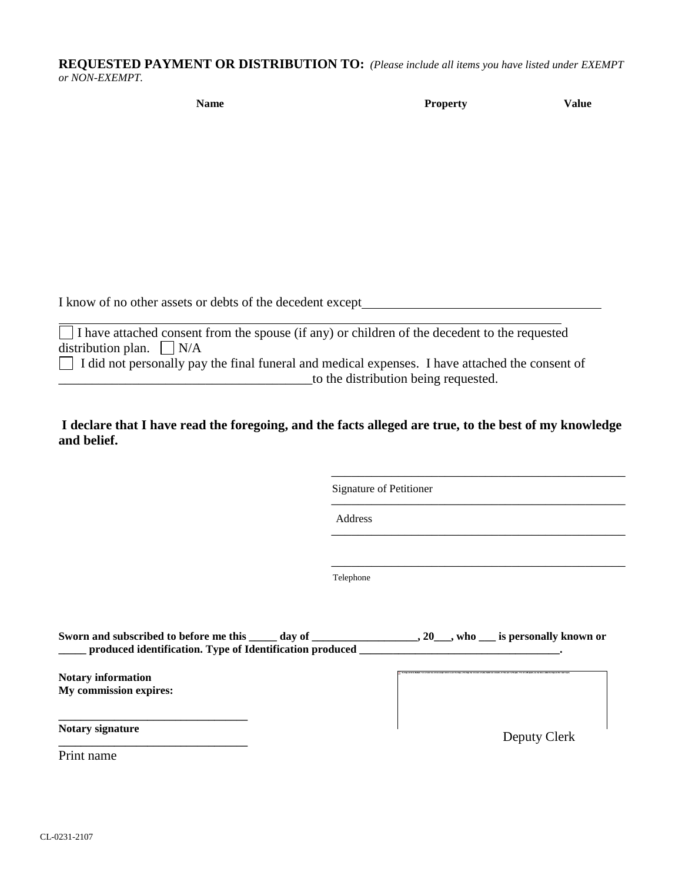## **REQUESTED PAYMENT OR DISTRIBUTION TO:** *(Please include all items you have listed under EXEMPT or NON-EXEMPT.*

| <b>Name</b> | <b>Property</b> | <b>Value</b> |
|-------------|-----------------|--------------|
|             |                 |              |

I know of no other assets or debts of the decedent except

I have attached consent from the spouse (if any) or children of the decedent to the requested distribution plan.  $\Box$  N/A

 $\Box$  I did not personally pay the final funeral and medical expenses. I have attached the consent of \_\_\_\_\_\_\_\_\_\_\_\_\_\_\_\_\_\_\_\_\_\_\_\_\_\_\_\_\_\_\_\_\_\_\_\_\_\_to the distribution being requested.

**I declare that I have read the foregoing, and the facts alleged are true, to the best of my knowledge and belief.**

> \_\_\_\_\_\_\_\_\_\_\_\_\_\_\_\_\_\_\_\_\_\_\_\_\_\_\_\_\_\_\_\_\_\_\_\_\_\_\_\_\_\_\_\_ Signature of Petitioner

> \_\_\_\_\_\_\_\_\_\_\_\_\_\_\_\_\_\_\_\_\_\_\_\_\_\_\_\_\_\_\_\_\_\_\_\_\_\_\_\_\_\_\_\_

\_\_\_\_\_\_\_\_\_\_\_\_\_\_\_\_\_\_\_\_\_\_\_\_\_\_\_\_\_\_\_\_\_\_\_\_\_\_\_\_\_\_\_\_

\_\_\_\_\_\_\_\_\_\_\_\_\_\_\_\_\_\_\_\_\_\_\_\_\_\_\_\_\_\_\_\_\_\_\_\_\_\_\_\_\_\_\_\_

Address

Telephone

| Sworn and subscribed to before me this same day of<br>produced identification. Type of Identification produced | , 20 <sub>nd</sub> , who is personally known or |
|----------------------------------------------------------------------------------------------------------------|-------------------------------------------------|
| <b>Notary information</b><br>My commission expires:                                                            |                                                 |
| Notary signature<br>Print name                                                                                 | Deputy Clerk                                    |